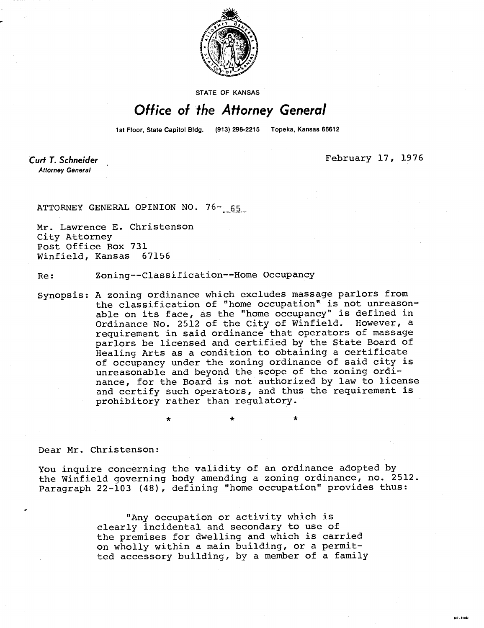

STATE OF KANSAS

## Office of the Attorney General

1st Floor, State Capitol Bldg. (913) 296-2215 Topeka, Kansas 66612

Curt T. Schneider **Attorney General** 

February 17, 1976

M1-104:

ATTORNEY GENERAL OPINION NO. 76- 65

Mr. Lawrence E. Christenson City Attorney Post Office Box 731 Winfield, Kansas 67156

Re: Zoning--Classification--Home Occupancy

\*

Synopsis: A zoning ordinance which excludes massage parlors from the classification of "home occupation" is not unreasonable on its face, as the "home occupancy" is defined in Ordinance No. 2512 of the City of Winfield. However, a requirement in said ordinance that operators of massage parlors be licensed and certified by the State Board of Healing Arts as a condition to obtaining a certificate of occupancy under the zoning ordinance of said city is unreasonable and beyond the scope of the zoning ordinance, for the Board is not authorized by law to license and certify such operators, and thus the requirement is prohibitory rather than regulatory.

Dear Mr. Christenson:

You inquire concerning the validity of an ordinance adopted by the Winfield governing body amending a zoning ordinance, no. 2512. Paragraph 22-103 (48), defining "home occupation" provides thus:

> "Any occupation or activity which is clearly incidental and secondary to use of the premises for dwelling and which is carried on wholly within a main building, or a permitted accessory building, by a member of a family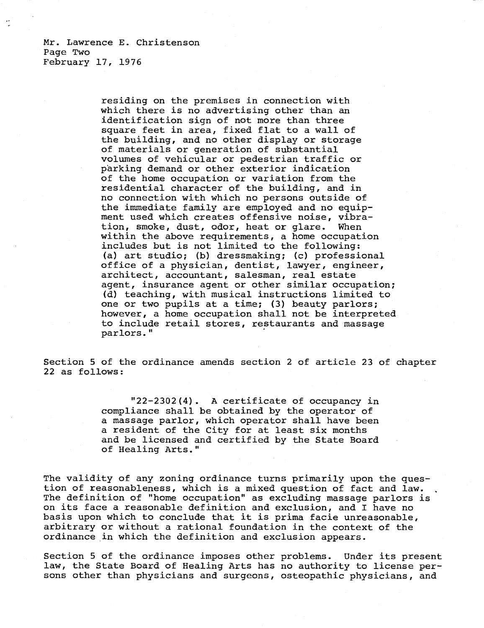Mr. Lawrence E. Christenson Page Two February 17, 1976

> residing on the premises in connection with which there is no advertising other than an identification sign of not more than three square feet in area, fixed flat to a wall of the building, and no other display or storage of materials or generation of substantial volumes of vehicular or pedestrian traffic or parking demand or other exterior indication of the home occupation or variation from the residential character of the building, and in no connection with which no persons outside of the immediate family are employed and no equipment used which creates offensive noise, vibration, smoke, dust, odor, heat or glare. When within the above requirements, a home occupation includes but is not limited to the following: (a) art studio; (b) dressmaking; (c) professional office of a physician, dentist, lawyer, engineer, architect, accountant, salesman, real estate agent, insurance agent or other similar occupation; (d) teaching, with musical instructions limited to one or two pupils at a time; (3) beauty parlors; however, a home occupation shall not be interpreted to include retail stores, restaurants and massage parlors."

Section 5 of the ordinance amends section 2 of article 23 of chapter 22 as follows:

> "22-2302(4). A certificate of occupancy in compliance shall be obtained by the operator of a massage parlor, which operator shall have been a resident of the City for at least six months and be licensed and certified by the State Board of Healing Arts."

The validity of any zoning ordinance turns primarily upon the question of reasonableness, which is a mixed question of fact and law. The definition of "home occupation" as excluding massage parlors is on its face a reasonable definition and exclusion, and I have no basis upon which to conclude that it is prima facie unreasonable, arbitrary or without a rational foundation in the context of the ordinance in which the definition and exclusion appears.

Section 5 of the ordinance imposes other problems. Under its present law, the State Board of Healing Arts has no authority to license persons other than physicians and surgeons, osteopathic physicians, and